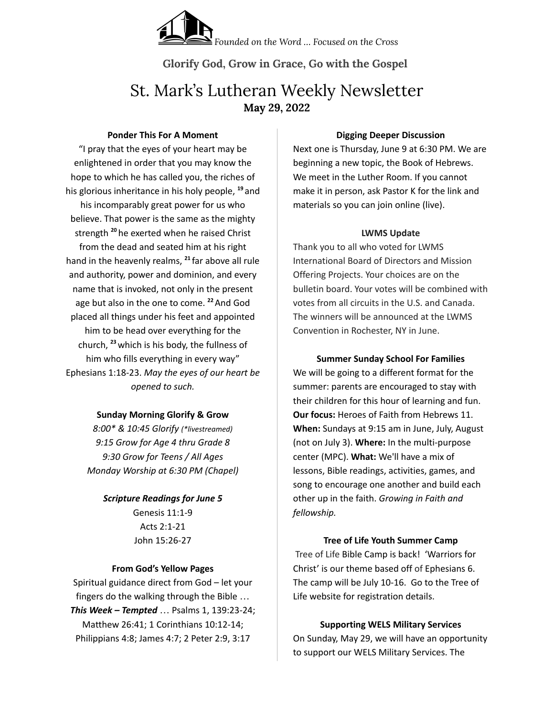*Founded on the Word … Focused on the Cross*

**Glorify God, Grow in Grace, Go with the Gospel**

# St. Mark's Lutheran Weekly Newsletter **May 29, 2022**

#### **Ponder This For A Moment**

"I pray that the eyes of your heart may be enlightened in order that you may know the hope to which he has called you, the riches of his glorious inheritance in his holy people, **<sup>19</sup>** and his incomparably great power for us who believe. That power is the same as the mighty strength **<sup>20</sup>** he exerted when he raised Christ from the dead and seated him at his right hand in the heavenly realms, **21** far above all rule and authority, power and dominion, and every name that is invoked, not only in the present age but also in the one to come. **<sup>22</sup>**And God placed all things under his feet and appointed him to be head over everything for the church, **<sup>23</sup>**which is his body, the fullness of him who fills everything in every way" Ephesians 1:18-23. *May the eyes of our heart be opened to such.*

# **Sunday Morning Glorify & Grow**

*8:00\* & 10:45 Glorify (\*livestreamed) 9:15 Grow for Age 4 thru Grade 8 9:30 Grow for Teens / All Ages Monday Worship at 6:30 PM (Chapel)*

*Scripture Readings for June 5* Genesis 11:1-9 Acts 2:1-21 John 15:26-27

# **From God's Yellow Pages**

Spiritual guidance direct from God – let your fingers do the walking through the Bible … *This Week – Tempted* … Psalms 1, 139:23-24; Matthew 26:41; 1 Corinthians 10:12-14; Philippians 4:8; James 4:7; 2 Peter 2:9, 3:17

### **Digging Deeper Discussion**

Next one is Thursday, June 9 at 6:30 PM. We are beginning a new topic, the Book of Hebrews. We meet in the Luther Room. If you cannot make it in person, ask Pastor K for the link and materials so you can join online (live).

## **LWMS Update**

Thank you to all who voted for LWMS International Board of Directors and Mission Offering Projects. Your choices are on the bulletin board. Your votes will be combined with votes from all circuits in the U.S. and Canada. The winners will be announced at the LWMS Convention in Rochester, NY in June.

**Summer Sunday School For Families** We will be going to a different format for the summer: parents are encouraged to stay with their children for this hour of learning and fun. **Our focus:** Heroes of Faith from Hebrews 11. **When:** Sundays at 9:15 am in June, July, August (not on July 3). **Where:** In the multi-purpose center (MPC). **What:** We'll have a mix of lessons, Bible readings, activities, games, and song to encourage one another and build each other up in the faith. *Growing in Faith and fellowship.*

# **Tree of Life Youth Summer Camp**

Tree of Life Bible Camp is back! 'Warriors for Christ' is our theme based off of Ephesians 6. The camp will be July 10-16. Go to the Tree of Life website for registration details.

# **Supporting WELS Military Services**

On Sunday, May 29, we will have an opportunity to support our WELS Military Services. The